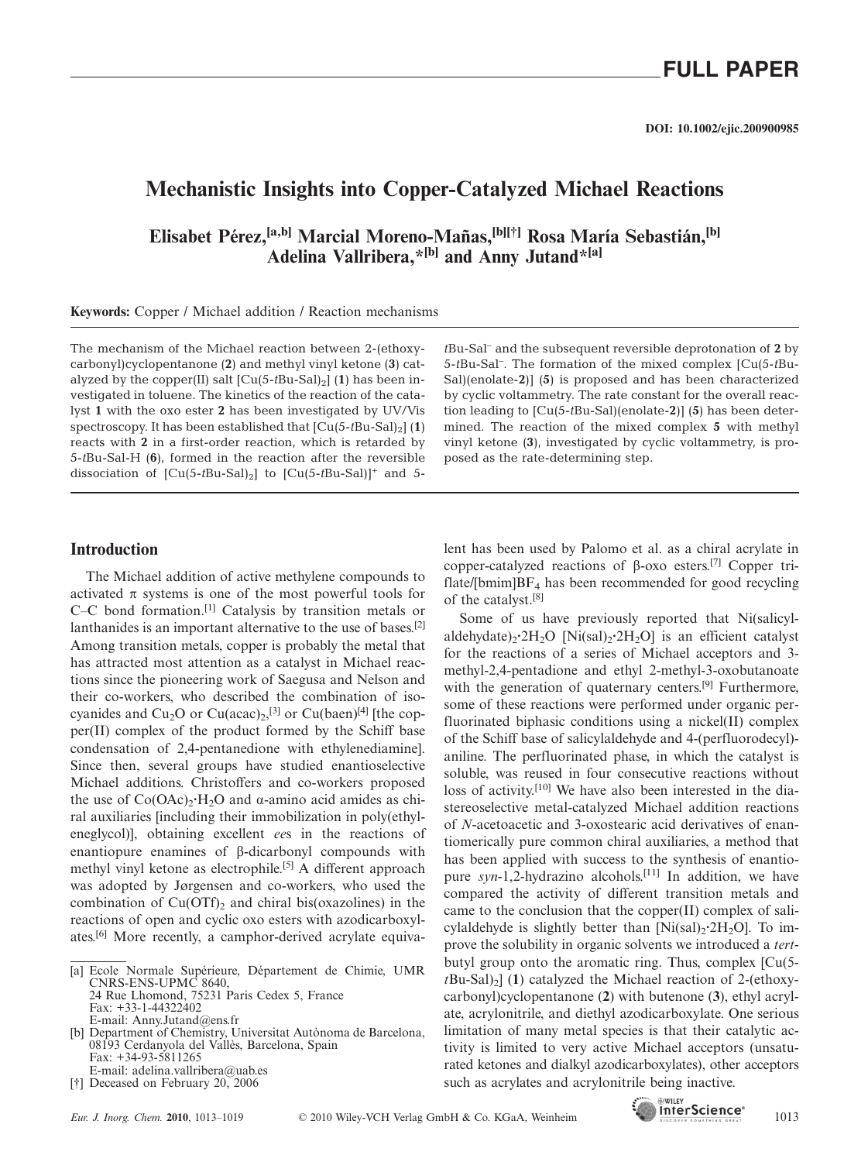## **Mechanistic Insights into Copper-Catalyzed Michael Reactions**

**Elisabet Pérez,[a,b] Marcial Moreno-Mañas,[b][†] Rosa María Sebastián,[b] Adelina Vallribera,\*[b] and Anny Jutand\*[a]**

**Keywords:** Copper / Michael addition / Reaction mechanisms

The mechanism of the Michael reaction between 2-(ethoxycarbonyl)cyclopentanone (**2**) and methyl vinyl ketone (**3**) catalyzed by the copper(II) salt  $\left[\text{Cu}(5-t\text{Bu-Sal})_2\right]$  (1) has been investigated in toluene. The kinetics of the reaction of the catalyst **1** with the oxo ester **2** has been investigated by UV/Vis spectroscopy. It has been established that  $\left[\text{Cu}(5-t\text{Bu-Sal})_2\right](1)$ reacts with **2** in a first-order reaction, which is retarded by 5-*t*Bu-Sal-H (**6**), formed in the reaction after the reversible dissociation of  $\left[\text{Cu}(5-t\text{Bu-Sal})_2\right]$  to  $\left[\text{Cu}(5-t\text{Bu-Sal})\right]^+$  and 5-

#### **Introduction**

The Michael addition of active methylene compounds to activated  $\pi$  systems is one of the most powerful tools for C–C bond formation.[1] Catalysis by transition metals or lanthanides is an important alternative to the use of bases.<sup>[2]</sup> Among transition metals, copper is probably the metal that has attracted most attention as a catalyst in Michael reactions since the pioneering work of Saegusa and Nelson and their co-workers, who described the combination of isocyanides and  $Cu<sub>2</sub>O$  or  $Cu(acac)<sub>2</sub>,<sup>[3]</sup>$  or  $Cu(baen)<sup>[4]</sup>$  [the copper(II) complex of the product formed by the Schiff base condensation of 2,4-pentanedione with ethylenediamine]. Since then, several groups have studied enantioselective Michael additions. Christoffers and co-workers proposed the use of  $Co(OAc)_{2} \cdot H_{2}O$  and  $\alpha$ -amino acid amides as chiral auxiliaries [including their immobilization in poly(ethyleneglycol)], obtaining excellent *ee*s in the reactions of enantiopure enamines of β-dicarbonyl compounds with methyl vinyl ketone as electrophile.<sup>[5]</sup> A different approach was adopted by Jørgensen and co-workers, who used the combination of  $Cu(OTf)$ , and chiral bis(oxazolines) in the reactions of open and cyclic oxo esters with azodicarboxylates.[6] More recently, a camphor-derived acrylate equivaby cyclic voltammetry. The rate constant for the overall reaction leading to [Cu(5-*t*Bu-Sal)(enolate-**2**)] (**5**) has been determined. The reaction of the mixed complex **5** with methyl vinyl ketone (**3**), investigated by cyclic voltammetry, is proposed as the rate-determining step.

*t*Bu-Sal– and the subsequent reversible deprotonation of **2** by 5-*t*Bu-Sal– . The formation of the mixed complex [Cu(5-*t*Bu-Sal)(enolate-**2**)] (**5**) is proposed and has been characterized

lent has been used by Palomo et al. as a chiral acrylate in copper-catalyzed reactions of β-oxo esters.[7] Copper triflate/[bmim] $BF_4$  has been recommended for good recycling of the catalyst.[8]

Some of us have previously reported that Ni(salicylaldehydate)<sub>2</sub>·2H<sub>2</sub>O [Ni(sal)<sub>2</sub>·2H<sub>2</sub>O] is an efficient catalyst for the reactions of a series of Michael acceptors and 3 methyl-2,4-pentadione and ethyl 2-methyl-3-oxobutanoate with the generation of quaternary centers.<sup>[9]</sup> Furthermore, some of these reactions were performed under organic perfluorinated biphasic conditions using a nickel(II) complex of the Schiff base of salicylaldehyde and 4-(perfluorodecyl) aniline. The perfluorinated phase, in which the catalyst is soluble, was reused in four consecutive reactions without loss of activity.<sup>[10]</sup> We have also been interested in the diastereoselective metal-catalyzed Michael addition reactions of *N*-acetoacetic and 3-oxostearic acid derivatives of enantiomerically pure common chiral auxiliaries, a method that has been applied with success to the synthesis of enantiopure *syn*-1,2-hydrazino alcohols.<sup>[11]</sup> In addition, we have compared the activity of different transition metals and came to the conclusion that the copper(II) complex of salicylaldehyde is slightly better than [Ni(sal)<sub>2</sub>·2H<sub>2</sub>O]. To improve the solubility in organic solvents we introduced a *tert*butyl group onto the aromatic ring. Thus, complex [Cu(5  $t$ Bu-Sal $\left| \right\rangle$ ] (1) catalyzed the Michael reaction of 2-(ethoxycarbonyl)cyclopentanone (**2**) with butenone (**3**), ethyl acrylate, acrylonitrile, and diethyl azodicarboxylate. One serious limitation of many metal species is that their catalytic activity is limited to very active Michael acceptors (unsaturated ketones and dialkyl azodicarboxylates), other acceptors such as acrylates and acrylonitrile being inactive.



<sup>[</sup>a] Ecole Normale Supérieure, Département de Chimie, UMR CNRS-ENS-UPMC 8640, 24 Rue Lhomond, 75231 Paris Cedex 5, France Fax: +33-1-44322402 E-mail: Anny.Jutand@ens.fr

<sup>[</sup>b] Department of Chemistry, Universitat Autònoma de Barcelona, 08193 Cerdanyola del Vallès, Barcelona, Spain Fax: +34-93-5811265 E-mail: adelina.vallribera@uab.es

<sup>[†]</sup> Deceased on February 20, 2006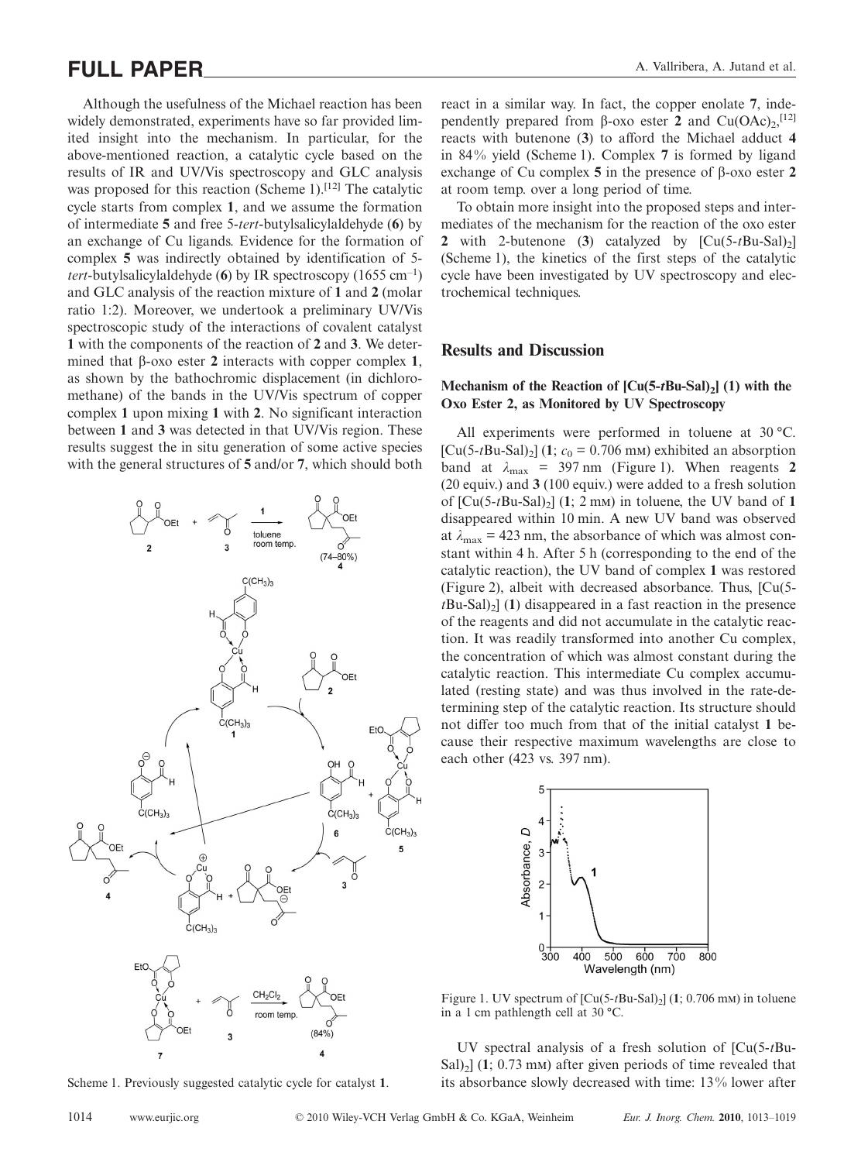# **FULL PAPER** A. Vallribera, A. Jutand et al.

Although the usefulness of the Michael reaction has been widely demonstrated, experiments have so far provided limited insight into the mechanism. In particular, for the above-mentioned reaction, a catalytic cycle based on the results of IR and UV/Vis spectroscopy and GLC analysis was proposed for this reaction (Scheme 1).<sup>[12]</sup> The catalytic cycle starts from complex **1**, and we assume the formation of intermediate **5** and free 5-*tert*-butylsalicylaldehyde (**6**) by an exchange of Cu ligands. Evidence for the formation of complex **5** was indirectly obtained by identification of 5 *tert*-butylsalicylaldehyde (**6**) by IR spectroscopy (1655 cm–1 ) and GLC analysis of the reaction mixture of **1** and **2** (molar ratio 1:2). Moreover, we undertook a preliminary UV/Vis spectroscopic study of the interactions of covalent catalyst **1** with the components of the reaction of **2** and **3**. We determined that β-oxo ester **2** interacts with copper complex **1**, as shown by the bathochromic displacement (in dichloromethane) of the bands in the UV/Vis spectrum of copper complex **1** upon mixing **1** with **2**. No significant interaction between **1** and **3** was detected in that UV/Vis region. These results suggest the in situ generation of some active species with the general structures of **5** and/or **7**, which should both



Scheme 1. Previously suggested catalytic cycle for catalyst **1**.

react in a similar way. In fact, the copper enolate **7**, independently prepared from  $\beta$ -oxo ester **2** and Cu(OAc)<sub>2</sub>,<sup>[12]</sup> reacts with butenone (**3**) to afford the Michael adduct **4** in 84% yield (Scheme 1). Complex **7** is formed by ligand exchange of Cu complex **5** in the presence of β-oxo ester **2** at room temp. over a long period of time.

To obtain more insight into the proposed steps and intermediates of the mechanism for the reaction of the oxo ester 2 with 2-butenone (3) catalyzed by  $\left[\text{Cu}(5-t\text{Bu-Sal})\right]$ (Scheme 1), the kinetics of the first steps of the catalytic cycle have been investigated by UV spectroscopy and electrochemical techniques.

#### **Results and Discussion**

#### **Mechanism of the Reaction of**  $\left[ Cu(5-tBu-Sal)_{2} \right]$  **(1) with the Oxo Ester 2, as Monitored by UV Spectroscopy**

All experiments were performed in toluene at 30 °C.  $[Cu(5-tBu-Sal)_2]$  (1;  $c_0 = 0.706$  mm) exhibited an absorption band at  $\lambda_{\text{max}}$  = 397 nm (Figure 1). When reagents 2 (20 equiv.) and **3** (100 equiv.) were added to a fresh solution of  $\left[ Cu(5-tBu-Sal)_{2} \right]$  (1; 2 mm) in toluene, the UV band of 1 disappeared within 10 min. A new UV band was observed at  $\lambda_{\text{max}} = 423$  nm, the absorbance of which was almost constant within 4 h. After 5 h (corresponding to the end of the catalytic reaction), the UV band of complex **1** was restored (Figure 2), albeit with decreased absorbance. Thus, [Cu(5  $t$ Bu-Sal $\vert$ <sub>2</sub>] (**1**) disappeared in a fast reaction in the presence of the reagents and did not accumulate in the catalytic reaction. It was readily transformed into another Cu complex, the concentration of which was almost constant during the catalytic reaction. This intermediate Cu complex accumulated (resting state) and was thus involved in the rate-determining step of the catalytic reaction. Its structure should not differ too much from that of the initial catalyst **1** because their respective maximum wavelengths are close to each other (423 vs. 397 nm).



Figure 1. UV spectrum of  $\left[ Cu(5-tBu-Sal)_{2} \right]$  (1; 0.706 mm) in toluene in a 1 cm pathlength cell at 30 °C.

UV spectral analysis of a fresh solution of [Cu(5-*t*Bu-Sal $\vert$ <sub>2</sub>] (1; 0.73 m<sub>M</sub>) after given periods of time revealed that its absorbance slowly decreased with time: 13% lower after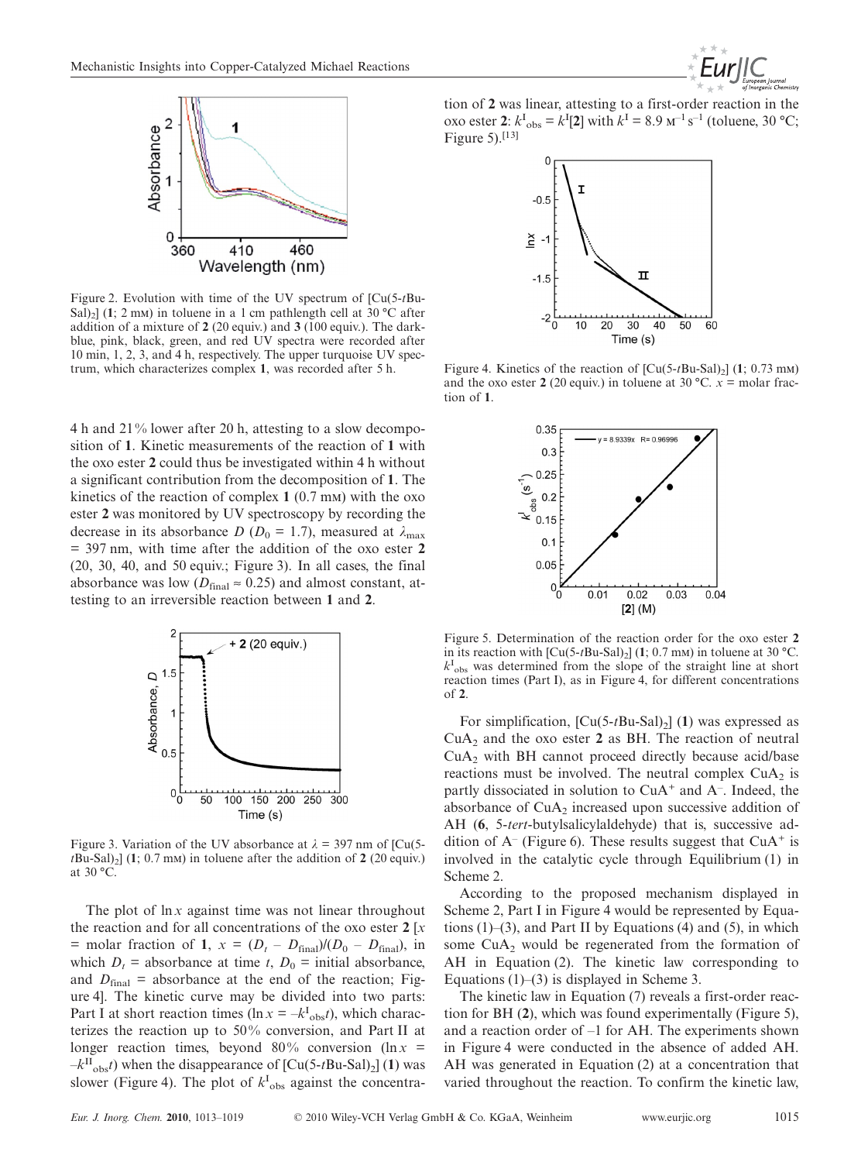

Figure 2. Evolution with time of the UV spectrum of [Cu(5-*t*Bu-Sal)<sub>2</sub>] (1; 2 mm) in toluene in a 1 cm pathlength cell at 30 °C after addition of a mixture of **2** (20 equiv.) and **3** (100 equiv.). The darkblue, pink, black, green, and red UV spectra were recorded after 10 min, 1, 2, 3, and 4 h, respectively. The upper turquoise UV spectrum, which characterizes complex **1**, was recorded after 5 h.

4 h and 21% lower after 20 h, attesting to a slow decomposition of **1**. Kinetic measurements of the reaction of **1** with the oxo ester **2** could thus be investigated within 4 h without a significant contribution from the decomposition of **1**. The kinetics of the reaction of complex  $1(0.7 \text{ mm})$  with the oxo ester **2** was monitored by UV spectroscopy by recording the decrease in its absorbance *D* ( $D_0 = 1.7$ ), measured at  $\lambda_{\text{max}}$ = 397 nm, with time after the addition of the oxo ester **2** (20, 30, 40, and 50 equiv.; Figure 3). In all cases, the final absorbance was low ( $D_{\text{final}} \approx 0.25$ ) and almost constant, attesting to an irreversible reaction between **1** and **2**.



Figure 3. Variation of the UV absorbance at  $\lambda = 397$  nm of  $\text{ICu}(5)$  $t$ Bu-Sal)<sub>2</sub>] (1; 0.7 mm) in toluene after the addition of 2 (20 equiv.) at 30 °C.

The plot of  $\ln x$  against time was not linear throughout the reaction and for all concentrations of the oxo ester **2** [*x* = molar fraction of **1**,  $x = (D_t - D_{\text{final}})/(D_0 - D_{\text{final}})$ , in which  $D_t$  = absorbance at time *t*,  $D_0$  = initial absorbance, and  $D_{final}$  = absorbance at the end of the reaction; Figure 4]. The kinetic curve may be divided into two parts: Part I at short reaction times ( $\ln x = -k_{\text{obs}}t$ ), which characterizes the reaction up to 50% conversion, and Part II at longer reaction times, beyond  $80\%$  conversion (ln x =  $-k$ <sup>II</sup><sub>obs</sub>*t*) when the disappearance of  $\left[\text{Cu}(5-t \text{Bu-Sal})_2\right]$  (1) was slower (Figure 4). The plot of  $k_{\text{obs}}^{\text{I}}$  against the concentration of **2** was linear, attesting to a first-order reaction in the oxo ester 2:  $k_{\text{obs}}^{\text{I}} = k^{\text{I}}[2]$  with  $k^{\text{I}} = 8.9 \text{ m}^{-1} \text{ s}^{-1}$  (toluene, 30 °C; Figure  $5$ ).<sup>[13]</sup>



Figure 4. Kinetics of the reaction of  $\left[ Cu(5-tBu-Sal)_{2} \right]$  (1; 0.73 mm) and the oxo ester 2 (20 equiv.) in toluene at 30 °C.  $x =$  molar fraction of **1**.



Figure 5. Determination of the reaction order for the oxo ester **2** in its reaction with  $\left[\text{Cu}(5-t\text{Bu-Sal})_2\right]$  (1; 0.7 mm) in toluene at 30 °C.  $k_{\rm obs}^{\rm I}$  was determined from the slope of the straight line at short reaction times (Part I), as in Figure 4, for different concentrations of **2**.

For simplification,  $\left[\text{Cu}(5-t\text{Bu-Sal})_2\right]$  (1) was expressed as  $CuA<sub>2</sub>$  and the oxo ester 2 as BH. The reaction of neutral CuA2 with BH cannot proceed directly because acid/base reactions must be involved. The neutral complex  $CuA<sub>2</sub>$  is partly dissociated in solution to CuA<sup>+</sup> and A<sup>-</sup>. Indeed, the absorbance of  $CuA<sub>2</sub>$  increased upon successive addition of AH (**6**, 5-*tert*-butylsalicylaldehyde) that is, successive addition of  $A^-$  (Figure 6). These results suggest that  $CuA^+$  is involved in the catalytic cycle through Equilibrium (1) in Scheme 2.

According to the proposed mechanism displayed in Scheme 2, Part I in Figure 4 would be represented by Equations  $(1)$ –(3), and Part II by Equations (4) and (5), in which some  $CuA<sub>2</sub>$  would be regenerated from the formation of AH in Equation (2). The kinetic law corresponding to Equations  $(1)$ – $(3)$  is displayed in Scheme 3.

The kinetic law in Equation (7) reveals a first-order reaction for BH (**2**), which was found experimentally (Figure 5), and a reaction order of –1 for AH. The experiments shown in Figure 4 were conducted in the absence of added AH. AH was generated in Equation (2) at a concentration that varied throughout the reaction. To confirm the kinetic law,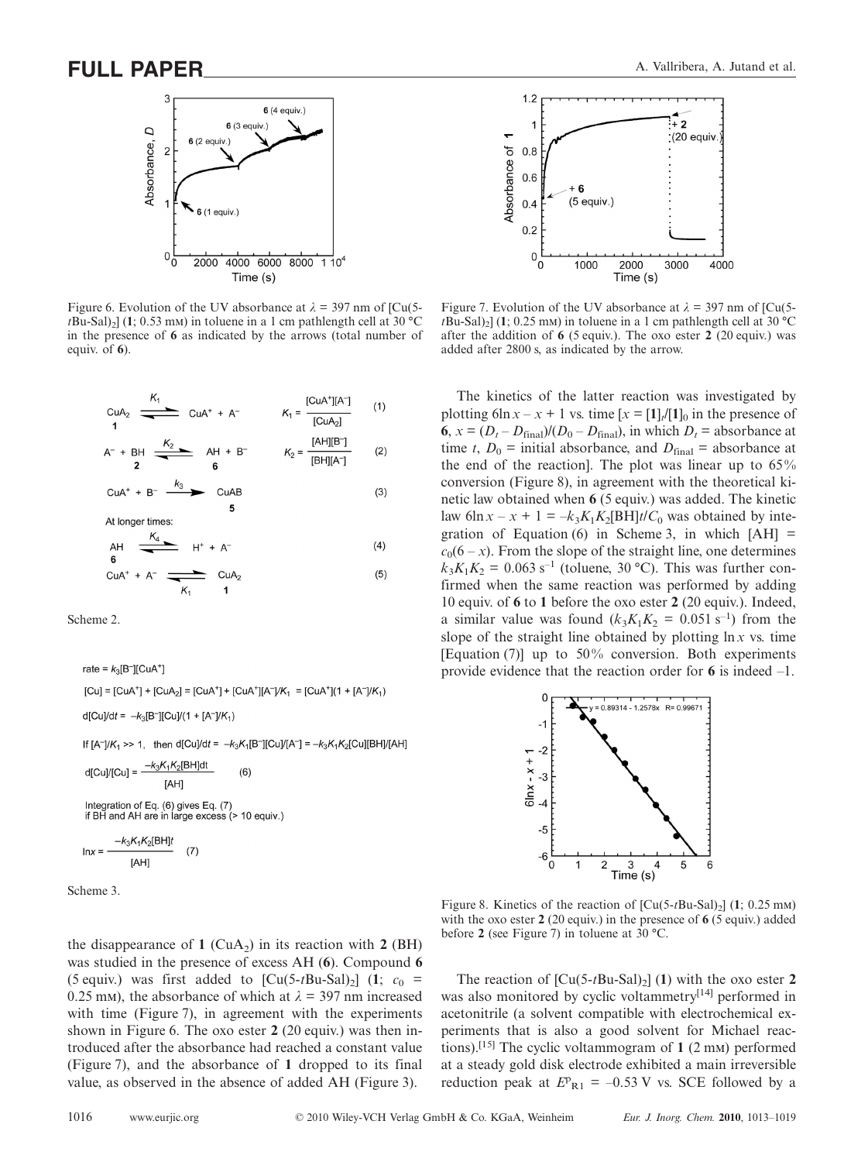

Figure 6. Evolution of the UV absorbance at  $\lambda = 397$  nm of [Cu(5 $t$ Bu-Sal)<sub>2</sub>] (**1**; 0.53 m<sub>M</sub>) in toluene in a 1 cm pathlength cell at 30 °C in the presence of **6** as indicated by the arrows (total number of equiv. of **6**).

CuA<sub>2</sub> 
$$
\xrightarrow{K_1}
$$
 CuA<sup>+</sup> + A<sup>-</sup>  $K_1 = \frac{[CuA^+][A^-]}{[CuA_2]}$  (1)  
\nA<sup>-</sup> + BH  $\xrightarrow{K_2}$  AH + B<sup>-</sup>  $K_2 = \frac{[AH][B^-]}{[BH][A^-]}$  (2)

$$
CuA+ + B- \xrightarrow{k_3}
$$
 CuAB (3)

At longer times

$$
AH \xrightarrow{K_4} H^+ + A^-
$$
\n
$$
G \xrightarrow{G_4} H^+ + A^-
$$
\n
$$
H^+ + A^-
$$
\n
$$
G \xrightarrow{G_4} G_4
$$
\n
$$
G \xrightarrow{G_4} G_4
$$
\n
$$
G \xrightarrow{G_4} G_4
$$
\n
$$
G \xrightarrow{G_4} G_4
$$
\n
$$
G \xrightarrow{G_4} G_4
$$
\n
$$
G \xrightarrow{G_4} G_4
$$
\n
$$
G \xrightarrow{G_4} G_4
$$
\n
$$
G \xrightarrow{G_4} G_4
$$
\n
$$
G \xrightarrow{G_4} G_4
$$
\n
$$
G \xrightarrow{G_4} G_4
$$
\n
$$
G \xrightarrow{G_4} G_4
$$
\n
$$
G \xrightarrow{G_4} G_4
$$
\n
$$
G \xrightarrow{G_4} G_4
$$
\n
$$
G \xrightarrow{G_4} G_4
$$
\n
$$
G \xrightarrow{G_4} G_4
$$
\n
$$
G \xrightarrow{G_4} G_4
$$
\n
$$
G \xrightarrow{G_4} G_4
$$
\n
$$
G \xrightarrow{G_4} G_4
$$
\n
$$
G \xrightarrow{G_4} G_4
$$
\n
$$
G \xrightarrow{G_4} G_4
$$
\n
$$
G \xrightarrow{G_4} G_4
$$
\n
$$
G \xrightarrow{G_4} G_4
$$
\n
$$
G \xrightarrow{G_4} G_4
$$
\n
$$
G \xrightarrow{G_4} G_4
$$
\n
$$
G \xrightarrow{G_4} G_4
$$
\n
$$
G \xrightarrow{G_4} G_4
$$
\n
$$
G \xrightarrow{G_4} G_4
$$
\n
$$
G \xrightarrow{G_4} G_4
$$
\n
$$
G \xrightarrow{G_4} G_4
$$
\n
$$
G \xrightarrow{G_4} G_4
$$
\n
$$
G \xrightarrow{G_4} G_4
$$
\n
$$
G \xrightarrow{G_4} G_
$$

Scheme 2.

rate =  $k_3$ [B<sup>-</sup>][CuA<sup>+</sup>]  $[Cu] = [CuA<sup>+</sup>] + [CuA<sub>2</sub>] = [CuA<sup>+</sup>] + [CuA<sup>+</sup>][A<sup>-</sup>]/K<sub>1</sub> = [CuA<sup>+</sup>](1 + [A<sup>-</sup>]/K<sub>1</sub>)$  $d[Cu]/dt = -k_3[B^-][Cu]/(1 + [A^-]/K_1)$ If  $[A^-]/K_1$  >> 1, then d[Cu]/dt =  $-k_3K_1[B^-][Cu]/[A^-] = -k_3K_1K_2[Cu][BH]/[AH]$  $-k_3K_1K_2$ [BH]dt  $d[Cu]/[Cu] =$  $(6)$ [AH] Integration of Eq. (6) gives Eq. (7) if BH and AH are in large excess (> 10 equiv.)  $-k_3K_1K_2[BH]t$  $(7)$ 

Scheme 3.

the disappearance of  $1$  (CuA<sub>2</sub>) in its reaction with  $2$  (BH) was studied in the presence of excess AH (**6**). Compound **6** (5 equiv.) was first added to  $\left[\text{Cu}(5-t\text{Bu-Sal})_2\right]$  (1;  $c_0$  = 0.25 mm), the absorbance of which at  $\lambda = 397$  nm increased with time (Figure 7), in agreement with the experiments shown in Figure 6. The oxo ester **2** (20 equiv.) was then introduced after the absorbance had reached a constant value (Figure 7), and the absorbance of **1** dropped to its final value, as observed in the absence of added AH (Figure 3).



Figure 7. Evolution of the UV absorbance at  $\lambda = 397$  nm of [Cu(5 $t$ Bu-Sal)<sub>2</sub>] (1; 0.25 mm) in toluene in a 1 cm pathlength cell at 30 °C after the addition of **6** (5 equiv.). The oxo ester **2** (20 equiv.) was added after 2800 s, as indicated by the arrow.

The kinetics of the latter reaction was investigated by plotting 6ln  $x - x + 1$  vs. time  $[x = [1]/[1]_0$  in the presence of **6**,  $x = (D_t - D_{\text{final}})/(D_0 - D_{\text{final}})$ , in which  $D_t$  = absorbance at time *t*,  $D_0$  = initial absorbance, and  $D_{final}$  = absorbance at the end of the reaction]. The plot was linear up to 65% conversion (Figure 8), in agreement with the theoretical kinetic law obtained when **6** (5 equiv.) was added. The kinetic law 6ln  $x - x + 1 = -k_3 K_1 K_2[BH]t/C_0$  was obtained by integration of Equation (6) in Scheme 3, in which  $[AH]$  =  $c_0(6-x)$ . From the slope of the straight line, one determines  $k_3K_1K_2 = 0.063$  s<sup>-1</sup> (toluene, 30 °C). This was further confirmed when the same reaction was performed by adding 10 equiv. of **6** to **1** before the oxo ester **2** (20 equiv.). Indeed, a similar value was found  $(k_3K_1K_2 = 0.051 \text{ s}^{-1})$  from the slope of the straight line obtained by plotting  $\ln x$  vs. time [Equation (7)] up to 50% conversion. Both experiments provide evidence that the reaction order for **6** is indeed –1.



Figure 8. Kinetics of the reaction of  $\left[ Cu(5-tBu-Sal)_{2} \right]$  (1; 0.25 mm) with the oxo ester **2** (20 equiv.) in the presence of **6** (5 equiv.) added before **2** (see Figure 7) in toluene at 30 °C.

The reaction of  $\left[\text{Cu}(5-t\text{Bu-Sal})_2\right](1)$  with the oxo ester 2 was also monitored by cyclic voltammetry<sup>[14]</sup> performed in acetonitrile (a solvent compatible with electrochemical experiments that is also a good solvent for Michael reactions).<sup>[15]</sup> The cyclic voltammogram of  $1(2 \text{ mm})$  performed at a steady gold disk electrode exhibited a main irreversible reduction peak at  $E_{R1} = -0.53$  V vs. SCE followed by a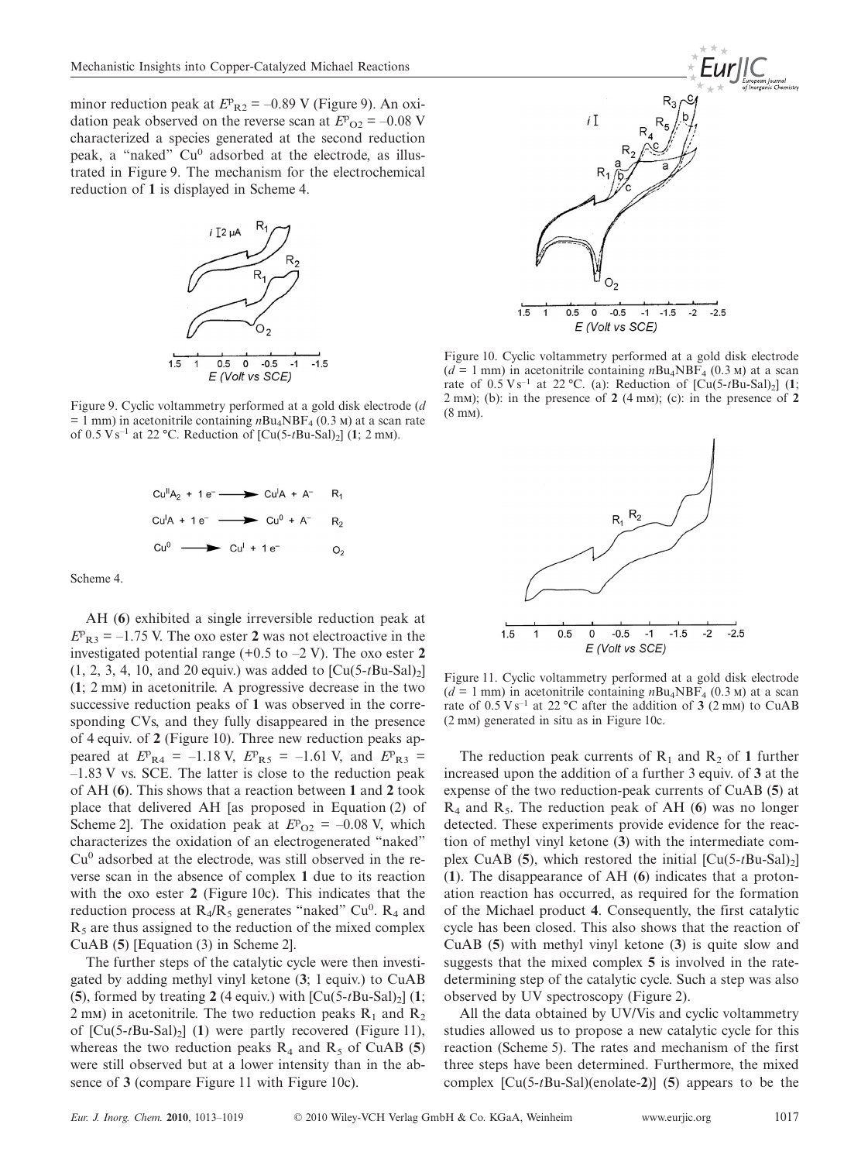minor reduction peak at  $E_{R2}^p = -0.89$  V (Figure 9). An oxidation peak observed on the reverse scan at  $E_{\text{O2}} = -0.08 \text{ V}$ characterized a species generated at the second reduction peak, a "naked" Cu<sup>0</sup> adsorbed at the electrode, as illustrated in Figure 9. The mechanism for the electrochemical reduction of **1** is displayed in Scheme 4.



Figure 9. Cyclic voltammetry performed at a gold disk electrode (*d*  $= 1$  mm) in acetonitrile containing  $nBu_4NBF_4 (0.3 \text{ m})$  at a scan rate of  $0.5 \text{ V s}^{-1}$  at  $22 \text{ }^{\circ}\text{C}$ . Reduction of  $\text{[Cu}(5 \text{ - } t \text{Bu-Sal})_2]$  (1; 2 mm).



Scheme 4.

AH (**6**) exhibited a single irreversible reduction peak at  $E_{R3} = -1.75$  V. The oxo ester 2 was not electroactive in the investigated potential range (+0.5 to –2 V). The oxo ester **2**  $(1, 2, 3, 4, 10, \text{ and } 20 \text{ equiv.})$  was added to  $\text{[Cu(5-tBu-Sal)_2]}$ (**1**;2m) in acetonitrile. A progressive decrease in the two successive reduction peaks of **1** was observed in the corresponding CVs, and they fully disappeared in the presence of 4 equiv. of **2** (Figure 10). Three new reduction peaks appeared at  $E_{R4} = -1.18 \text{ V}, E_{R5} = -1.61 \text{ V}, \text{ and } E_{R3} =$  $-1.83$  V vs. SCE. The latter is close to the reduction peak of AH (**6**). This shows that a reaction between **1** and **2** took place that delivered AH [as proposed in Equation (2) of Scheme 2]. The oxidation peak at  $E_{\text{O2}} = -0.08 \text{ V}$ , which characterizes the oxidation of an electrogenerated "naked"  $Cu<sup>0</sup>$  adsorbed at the electrode, was still observed in the reverse scan in the absence of complex **1** due to its reaction with the oxo ester 2 (Figure 10c). This indicates that the reduction process at  $R_4/R_5$  generates "naked" Cu<sup>0</sup>.  $R_4$  and  $R<sub>5</sub>$  are thus assigned to the reduction of the mixed complex CuAB (**5**) [Equation (3) in Scheme 2].

The further steps of the catalytic cycle were then investigated by adding methyl vinyl ketone (**3**; 1 equiv.) to CuAB (5), formed by treating 2 (4 equiv.) with  $\left[\text{Cu}(5-t\text{Bu-Sal})_2\right]$  (1; 2 mm) in acetonitrile. The two reduction peaks  $R_1$  and  $R_2$ of  $\left[ Cu(5-tBu-Sal)_2 \right]$  (1) were partly recovered (Figure 11), whereas the two reduction peaks  $R_4$  and  $R_5$  of CuAB (5) were still observed but at a lower intensity than in the absence of **3** (compare Figure 11 with Figure 10c).



Figure 10. Cyclic voltammetry performed at a gold disk electrode  $(d = 1$  mm) in acetonitrile containing  $nBu<sub>4</sub>NBF<sub>4</sub>$  (0.3 M) at a scan rate of  $0.5 \text{ V s}^{-1}$  at  $22 \text{ °C}$ . (a): Reduction of  $\left[\text{Cu}(5-t\text{Bu-Sal})_2\right]$  (1; 2 m<sub>m</sub>); (b): in the presence of  $2(4 \text{ mm})$ ; (c): in the presence of  $2$  $(8 \text{ mm})$ .



Figure 11. Cyclic voltammetry performed at a gold disk electrode  $(d = 1$  mm) in acetonitrile containing  $nBu<sub>4</sub>NBF<sub>4</sub>$  (0.3 M) at a scan rate of  $0.5 \text{ V s}^{-1}$  at 22 °C after the addition of 3 (2 mm) to CuAB  $(2 \text{ mm})$  generated in situ as in Figure 10c.

The reduction peak currents of  $R_1$  and  $R_2$  of 1 further increased upon the addition of a further 3 equiv. of **3** at the expense of the two reduction-peak currents of CuAB (**5**) at  $R_4$  and  $R_5$ . The reduction peak of AH (6) was no longer detected. These experiments provide evidence for the reaction of methyl vinyl ketone (**3**) with the intermediate complex CuAB  $(5)$ , which restored the initial  $[Cu(5-tBu-Sal)_2]$ (**1**). The disappearance of AH (**6**) indicates that a protonation reaction has occurred, as required for the formation of the Michael product **4**. Consequently, the first catalytic cycle has been closed. This also shows that the reaction of CuAB (**5**) with methyl vinyl ketone (**3**) is quite slow and suggests that the mixed complex **5** is involved in the ratedetermining step of the catalytic cycle. Such a step was also observed by UV spectroscopy (Figure 2).

All the data obtained by UV/Vis and cyclic voltammetry studies allowed us to propose a new catalytic cycle for this reaction (Scheme 5). The rates and mechanism of the first three steps have been determined. Furthermore, the mixed complex [Cu(5-*t*Bu-Sal)(enolate-**2**)] (**5**) appears to be the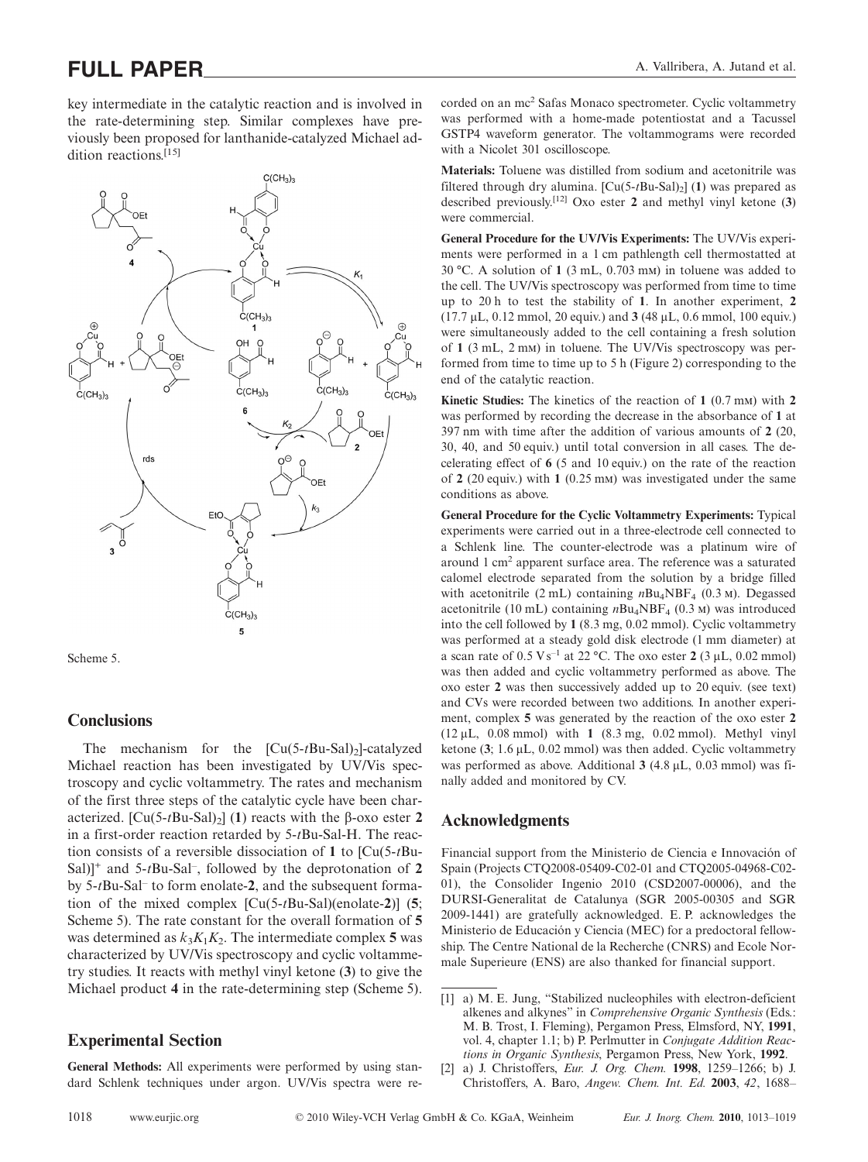key intermediate in the catalytic reaction and is involved in the rate-determining step. Similar complexes have previously been proposed for lanthanide-catalyzed Michael addition reactions.[15]



Scheme 5.

#### **Conclusions**

The mechanism for the  $[Cu(5-tBu-Sal)<sub>2</sub>]$ -catalyzed Michael reaction has been investigated by UV/Vis spectroscopy and cyclic voltammetry. The rates and mechanism of the first three steps of the catalytic cycle have been characterized.  $\left[\text{Cu}(5-t\text{Bu-Sal})_2\right]$  (1) reacts with the β-oxo ester 2 in a first-order reaction retarded by 5-*t*Bu-Sal-H. The reaction consists of a reversible dissociation of **1** to [Cu(5-*t*Bu-Sal)]<sup>+</sup> and 5-*t*Bu-Sal– , followed by the deprotonation of **2** by 5-*t*Bu-Sal– to form enolate-**2**, and the subsequent formation of the mixed complex [Cu(5-*t*Bu-Sal)(enolate-**2**)] (**5**; Scheme 5). The rate constant for the overall formation of **5** was determined as  $k_3K_1K_2$ . The intermediate complex 5 was characterized by UV/Vis spectroscopy and cyclic voltammetry studies. It reacts with methyl vinyl ketone (**3**) to give the Michael product **4** in the rate-determining step (Scheme 5).

### **Experimental Section**

**General Methods:** All experiments were performed by using standard Schlenk techniques under argon. UV/Vis spectra were recorded on an mc2 Safas Monaco spectrometer. Cyclic voltammetry was performed with a home-made potentiostat and a Tacussel GSTP4 waveform generator. The voltammograms were recorded with a Nicolet 301 oscilloscope.

**Materials:** Toluene was distilled from sodium and acetonitrile was filtered through dry alumina.  $\left[ Cu(5-tBu-Sal)_{2} \right]$  (1) was prepared as described previously.[12] Oxo ester **2** and methyl vinyl ketone (**3**) were commercial.

**General Procedure for the UV/Vis Experiments:** The UV/Vis experiments were performed in a 1 cm pathlength cell thermostatted at  $30 \text{ °C}$ . A solution of 1 (3 mL, 0.703 mm) in toluene was added to the cell. The UV/Vis spectroscopy was performed from time to time up to 20 h to test the stability of **1**. In another experiment, **2** (17.7 µL, 0.12 mmol, 20 equiv.) and **3** (48 µL, 0.6 mmol, 100 equiv.) were simultaneously added to the cell containing a fresh solution of 1 (3 mL, 2 mM) in toluene. The UV/Vis spectroscopy was performed from time to time up to 5 h (Figure 2) corresponding to the end of the catalytic reaction.

**Kinetic Studies:** The kinetics of the reaction of 1 (0.7 mm) with 2 was performed by recording the decrease in the absorbance of **1** at 397 nm with time after the addition of various amounts of **2** (20, 30, 40, and 50 equiv.) until total conversion in all cases. The decelerating effect of **6** (5 and 10 equiv.) on the rate of the reaction of 2 (20 equiv.) with 1 (0.25 mm) was investigated under the same conditions as above.

**General Procedure for the Cyclic Voltammetry Experiments:** Typical experiments were carried out in a three-electrode cell connected to a Schlenk line. The counter-electrode was a platinum wire of around 1 cm2 apparent surface area. The reference was a saturated calomel electrode separated from the solution by a bridge filled with acetonitrile (2 mL) containing  $nBu<sub>4</sub>NBF<sub>4</sub>$  (0.3 m). Degassed acetonitrile (10 mL) containing  $nBu<sub>4</sub>NBF<sub>4</sub>$  (0.3 M) was introduced into the cell followed by **1** (8.3 mg, 0.02 mmol). Cyclic voltammetry was performed at a steady gold disk electrode (1 mm diameter) at a scan rate of  $0.5 \text{ V s}^{-1}$  at 22 °C. The oxo ester 2 (3  $\mu$ L, 0.02 mmol) was then added and cyclic voltammetry performed as above. The oxo ester **2** was then successively added up to 20 equiv. (see text) and CVs were recorded between two additions. In another experiment, complex **5** was generated by the reaction of the oxo ester **2** (12 µL, 0.08 mmol) with **1** (8.3 mg, 0.02 mmol). Methyl vinyl ketone (**3**; 1.6 µL, 0.02 mmol) was then added. Cyclic voltammetry was performed as above. Additional **3** (4.8 µL, 0.03 mmol) was finally added and monitored by CV.

#### **Acknowledgments**

Financial support from the Ministerio de Ciencia e Innovación of Spain (Projects CTQ2008-05409-C02-01 and CTQ2005-04968-C02- 01), the Consolider Ingenio 2010 (CSD2007-00006), and the DURSI-Generalitat de Catalunya (SGR 2005-00305 and SGR 2009-1441) are gratefully acknowledged. E. P. acknowledges the Ministerio de Educación y Ciencia (MEC) for a predoctoral fellowship. The Centre National de la Recherche (CNRS) and Ecole Normale Superieure (ENS) are also thanked for financial support.

<sup>[1]</sup> a) M. E. Jung, "Stabilized nucleophiles with electron-deficient alkenes and alkynes" in *Comprehensive Organic Synthesis* (Eds.: M. B. Trost, I. Fleming), Pergamon Press, Elmsford, NY, **1991**, vol. 4, chapter 1.1; b) P. Perlmutter in *Conjugate Addition Reactions in Organic Synthesis*, Pergamon Press, New York, **1992**.

<sup>[2]</sup> a) J. Christoffers, *Eur. J. Org. Chem.* **1998**, 1259–1266; b) J. Christoffers, A. Baro, *Angew. Chem. Int. Ed.* **2003**, *42*, 1688–